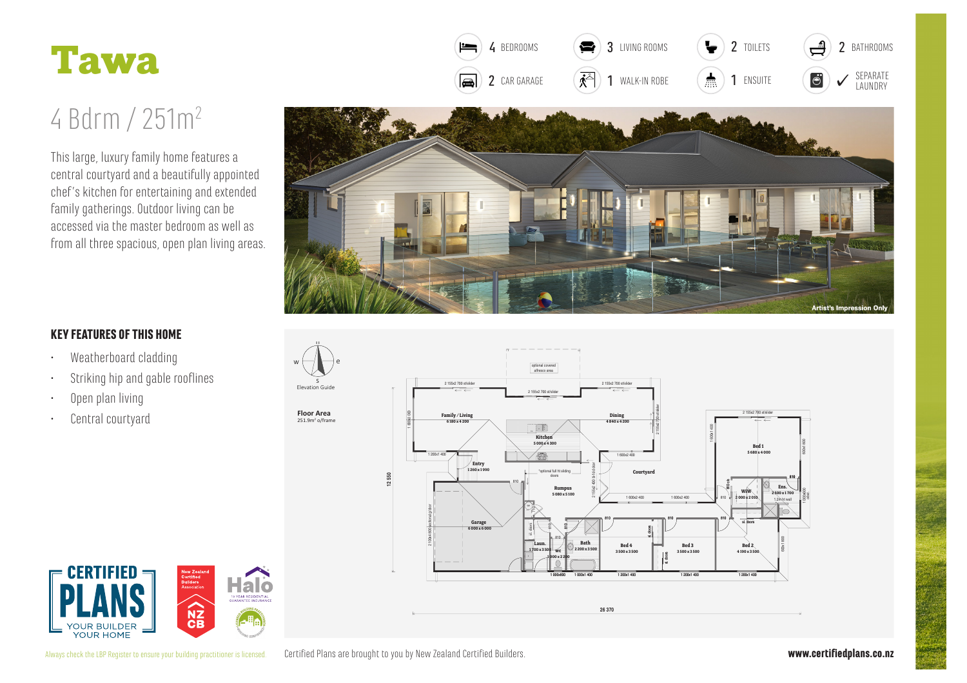

## 4 Bdrm / 251m<sup>2</sup>

This large, luxury family home features a central courtyard and a beautifully appointed chef's kitchen for entertaining and extended family gatherings. Outdoor living can be accessed via the master bedroom as well as from all three spacious, open plan living areas.



3 I IVING ROOMS

 $\ddot{\phantom{0}}$ 

2 TOILETS

**2** BATHROOMS

 $\equiv$ 

4 BEDROOMS

## **KEY FEATURES OF THIS HOME**

- Weatherboard cladding  $\bullet$
- Striking hip and gable rooflines
- Open plan living
- Central courtyard  $\bullet$





Certified Plans are brought to you by New Zealand Certified Builders. Always check the LBP Register to ensure your building practitioner is licensed.

Elevation Guide

**Floor Area** 

 $251.9<sup>2</sup> \rho$ /fram

www.certifiedplans.co.nz